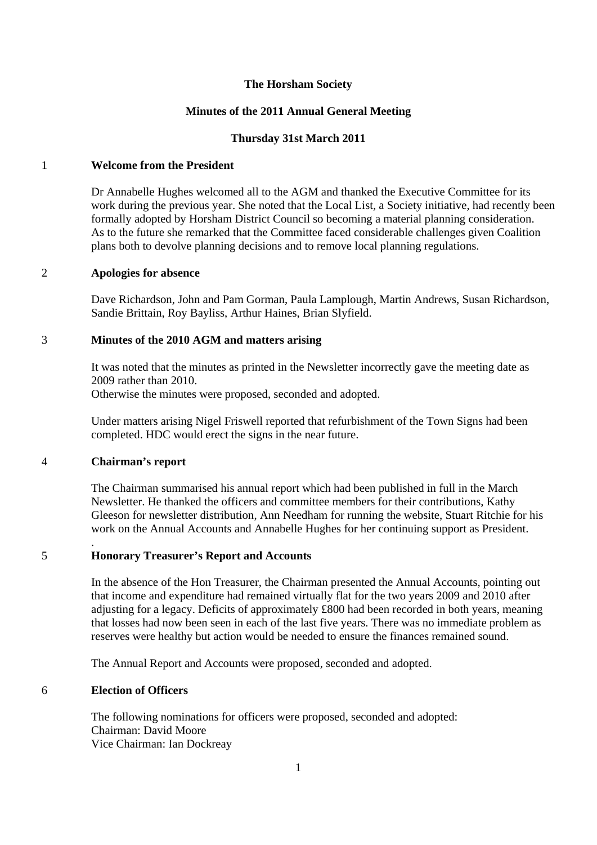### **The Horsham Society**

# **Minutes of the 2011 Annual General Meeting**

# **Thursday 31st March 2011**

# 1 **Welcome from the President**

Dr Annabelle Hughes welcomed all to the AGM and thanked the Executive Committee for its work during the previous year. She noted that the Local List, a Society initiative, had recently been formally adopted by Horsham District Council so becoming a material planning consideration. As to the future she remarked that the Committee faced considerable challenges given Coalition plans both to devolve planning decisions and to remove local planning regulations.

# 2 **Apologies for absence**

Dave Richardson, John and Pam Gorman, Paula Lamplough, Martin Andrews, Susan Richardson, Sandie Brittain, Roy Bayliss, Arthur Haines, Brian Slyfield.

# 3 **Minutes of the 2010 AGM and matters arising**

It was noted that the minutes as printed in the Newsletter incorrectly gave the meeting date as 2009 rather than 2010.

Otherwise the minutes were proposed, seconded and adopted.

Under matters arising Nigel Friswell reported that refurbishment of the Town Signs had been completed. HDC would erect the signs in the near future.

## 4 **Chairman's report**

.

The Chairman summarised his annual report which had been published in full in the March Newsletter. He thanked the officers and committee members for their contributions, Kathy Gleeson for newsletter distribution, Ann Needham for running the website, Stuart Ritchie for his work on the Annual Accounts and Annabelle Hughes for her continuing support as President.

# 5 **Honorary Treasurer's Report and Accounts**

In the absence of the Hon Treasurer, the Chairman presented the Annual Accounts, pointing out that income and expenditure had remained virtually flat for the two years 2009 and 2010 after adjusting for a legacy. Deficits of approximately £800 had been recorded in both years, meaning that losses had now been seen in each of the last five years. There was no immediate problem as reserves were healthy but action would be needed to ensure the finances remained sound.

The Annual Report and Accounts were proposed, seconded and adopted.

## 6 **Election of Officers**

The following nominations for officers were proposed, seconded and adopted: Chairman: David Moore Vice Chairman: Ian Dockreay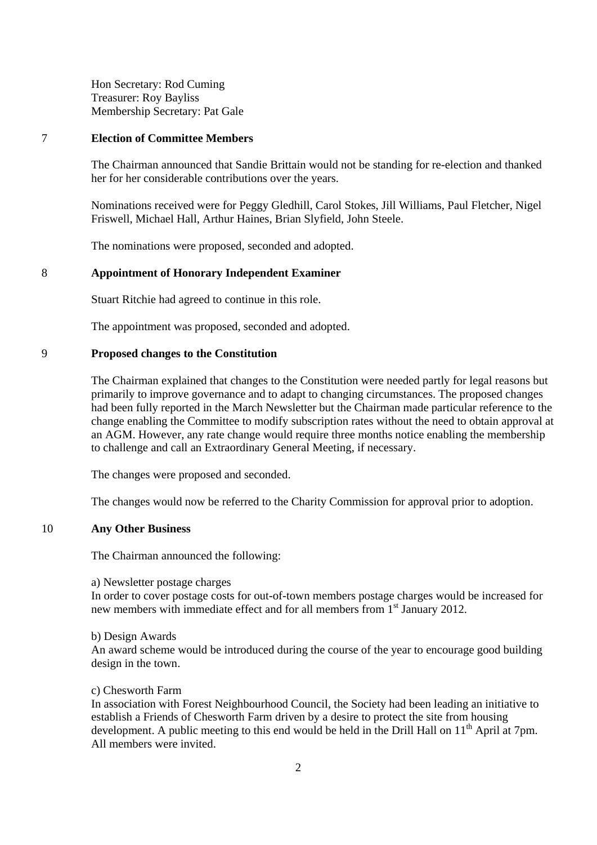Hon Secretary: Rod Cuming Treasurer: Roy Bayliss Membership Secretary: Pat Gale

### 7 **Election of Committee Members**

The Chairman announced that Sandie Brittain would not be standing for re-election and thanked her for her considerable contributions over the years.

Nominations received were for Peggy Gledhill, Carol Stokes, Jill Williams, Paul Fletcher, Nigel Friswell, Michael Hall, Arthur Haines, Brian Slyfield, John Steele.

The nominations were proposed, seconded and adopted.

## 8 **Appointment of Honorary Independent Examiner**

Stuart Ritchie had agreed to continue in this role.

The appointment was proposed, seconded and adopted.

### 9 **Proposed changes to the Constitution**

The Chairman explained that changes to the Constitution were needed partly for legal reasons but primarily to improve governance and to adapt to changing circumstances. The proposed changes had been fully reported in the March Newsletter but the Chairman made particular reference to the change enabling the Committee to modify subscription rates without the need to obtain approval at an AGM. However, any rate change would require three months notice enabling the membership to challenge and call an Extraordinary General Meeting, if necessary.

The changes were proposed and seconded.

The changes would now be referred to the Charity Commission for approval prior to adoption.

#### 10 **Any Other Business**

The Chairman announced the following:

a) Newsletter postage charges

In order to cover postage costs for out-of-town members postage charges would be increased for new members with immediate effect and for all members from 1<sup>st</sup> January 2012.

#### b) Design Awards

An award scheme would be introduced during the course of the year to encourage good building design in the town.

#### c) Chesworth Farm

In association with Forest Neighbourhood Council, the Society had been leading an initiative to establish a Friends of Chesworth Farm driven by a desire to protect the site from housing development. A public meeting to this end would be held in the Drill Hall on 11<sup>th</sup> April at 7pm. All members were invited.